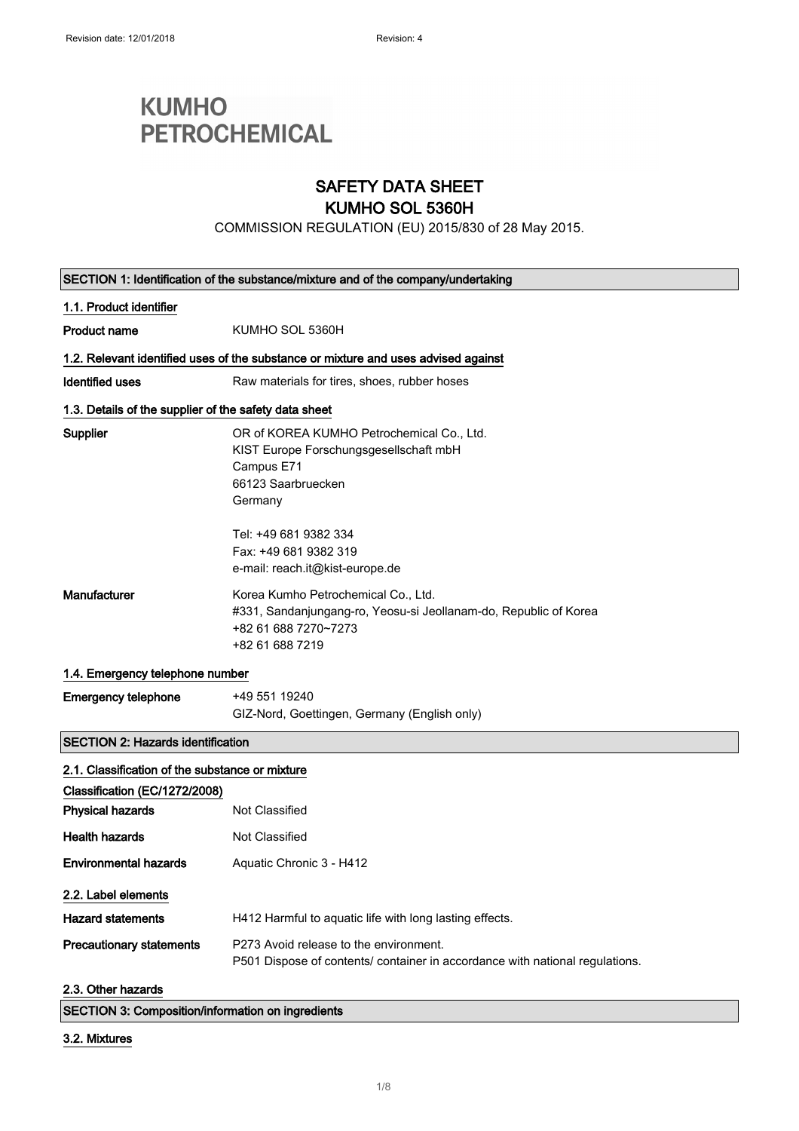# **KUMHO PETROCHEMICAL**

### SAFETY DATA SHEET

### KUMHO SOL 5360H

COMMISSION REGULATION (EU) 2015/830 of 28 May 2015.

| SECTION 1: Identification of the substance/mixture and of the company/undertaking  |                                                                                                                                                    |  |
|------------------------------------------------------------------------------------|----------------------------------------------------------------------------------------------------------------------------------------------------|--|
| 1.1. Product identifier                                                            |                                                                                                                                                    |  |
| <b>Product name</b>                                                                | KUMHO SOL 5360H                                                                                                                                    |  |
| 1.2. Relevant identified uses of the substance or mixture and uses advised against |                                                                                                                                                    |  |
| Identified uses                                                                    | Raw materials for tires, shoes, rubber hoses                                                                                                       |  |
| 1.3. Details of the supplier of the safety data sheet                              |                                                                                                                                                    |  |
| Supplier                                                                           | OR of KOREA KUMHO Petrochemical Co., Ltd.<br>KIST Europe Forschungsgesellschaft mbH<br>Campus E71<br>66123 Saarbruecken<br>Germany                 |  |
|                                                                                    | Tel: +49 681 9382 334<br>Fax: +49 681 9382 319<br>e-mail: reach.it@kist-europe.de                                                                  |  |
| Manufacturer                                                                       | Korea Kumho Petrochemical Co., Ltd.<br>#331, Sandanjungang-ro, Yeosu-si Jeollanam-do, Republic of Korea<br>+82 61 688 7270~7273<br>+82 61 688 7219 |  |
| 1.4. Emergency telephone number                                                    |                                                                                                                                                    |  |
| <b>Emergency telephone</b>                                                         | +49 551 19240<br>GIZ-Nord, Goettingen, Germany (English only)                                                                                      |  |
| <b>SECTION 2: Hazards identification</b>                                           |                                                                                                                                                    |  |
| 2.1. Classification of the substance or mixture                                    |                                                                                                                                                    |  |
| Classification (EC/1272/2008)                                                      |                                                                                                                                                    |  |
| <b>Physical hazards</b>                                                            | Not Classified                                                                                                                                     |  |
| <b>Health hazards</b>                                                              | Not Classified                                                                                                                                     |  |
| <b>Environmental hazards</b>                                                       | Aquatic Chronic 3 - H412                                                                                                                           |  |
| 2.2. Label elements                                                                |                                                                                                                                                    |  |
| <b>Hazard statements</b>                                                           | H412 Harmful to aquatic life with long lasting effects.                                                                                            |  |
| <b>Precautionary statements</b>                                                    | P273 Avoid release to the environment.<br>P501 Dispose of contents/ container in accordance with national regulations.                             |  |
| 2.3. Other hazards                                                                 |                                                                                                                                                    |  |

SECTION 3: Composition/information on ingredients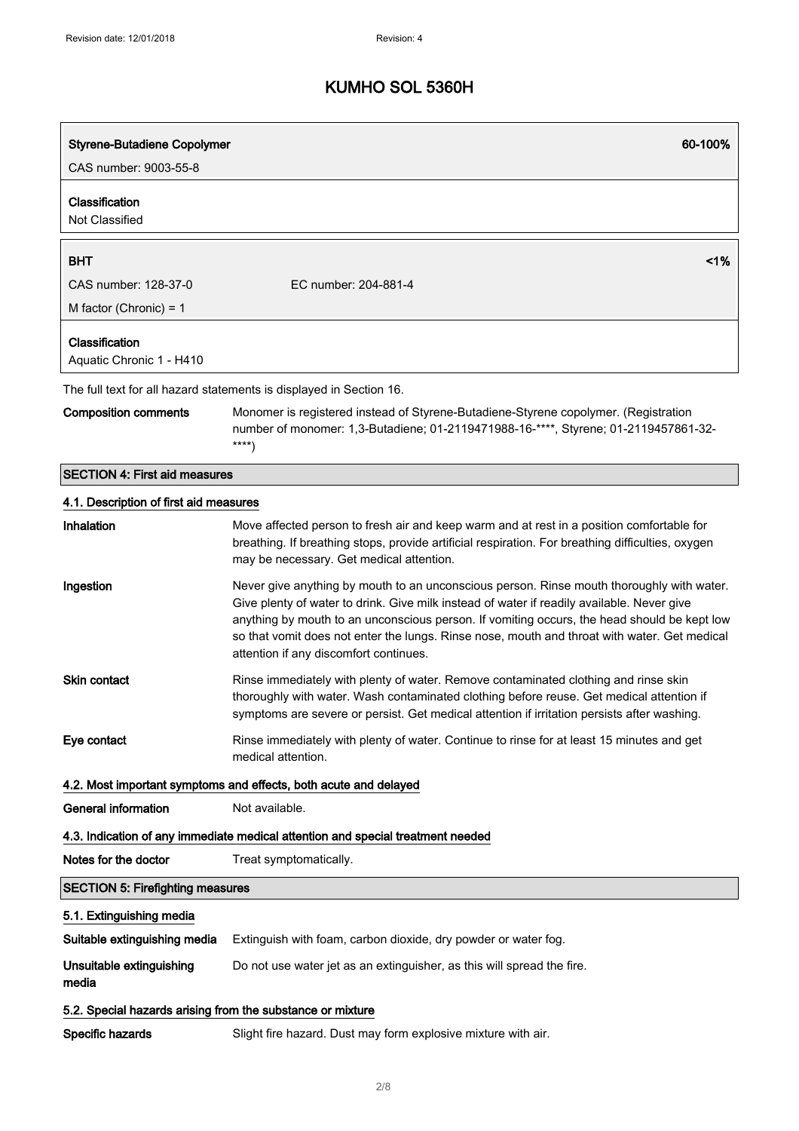| <b>Styrene-Butadiene Copolymer</b>                               | 60-100%                                                                                                                                                                                                                                                                                                                                                                                                                          |  |
|------------------------------------------------------------------|----------------------------------------------------------------------------------------------------------------------------------------------------------------------------------------------------------------------------------------------------------------------------------------------------------------------------------------------------------------------------------------------------------------------------------|--|
| CAS number: 9003-55-8                                            |                                                                                                                                                                                                                                                                                                                                                                                                                                  |  |
| <b>Classification</b><br>Not Classified                          |                                                                                                                                                                                                                                                                                                                                                                                                                                  |  |
| <b>BHT</b>                                                       | 1%                                                                                                                                                                                                                                                                                                                                                                                                                               |  |
| CAS number: 128-37-0                                             | EC number: 204-881-4                                                                                                                                                                                                                                                                                                                                                                                                             |  |
| M factor (Chronic) = $1$                                         |                                                                                                                                                                                                                                                                                                                                                                                                                                  |  |
| Classification                                                   |                                                                                                                                                                                                                                                                                                                                                                                                                                  |  |
| Aquatic Chronic 1 - H410                                         |                                                                                                                                                                                                                                                                                                                                                                                                                                  |  |
|                                                                  | The full text for all hazard statements is displayed in Section 16.                                                                                                                                                                                                                                                                                                                                                              |  |
| <b>Composition comments</b>                                      | Monomer is registered instead of Styrene-Butadiene-Styrene copolymer. (Registration<br>number of monomer: 1,3-Butadiene; 01-2119471988-16-****, Styrene; 01-2119457861-32-<br>$***$ )                                                                                                                                                                                                                                            |  |
| <b>SECTION 4: First aid measures</b>                             |                                                                                                                                                                                                                                                                                                                                                                                                                                  |  |
| 4.1. Description of first aid measures                           |                                                                                                                                                                                                                                                                                                                                                                                                                                  |  |
| Inhalation                                                       | Move affected person to fresh air and keep warm and at rest in a position comfortable for<br>breathing. If breathing stops, provide artificial respiration. For breathing difficulties, oxygen<br>may be necessary. Get medical attention.                                                                                                                                                                                       |  |
| Ingestion                                                        | Never give anything by mouth to an unconscious person. Rinse mouth thoroughly with water.<br>Give plenty of water to drink. Give milk instead of water if readily available. Never give<br>anything by mouth to an unconscious person. If vomiting occurs, the head should be kept low<br>so that vomit does not enter the lungs. Rinse nose, mouth and throat with water. Get medical<br>attention if any discomfort continues. |  |
| <b>Skin contact</b>                                              | Rinse immediately with plenty of water. Remove contaminated clothing and rinse skin<br>thoroughly with water. Wash contaminated clothing before reuse. Get medical attention if<br>symptoms are severe or persist. Get medical attention if irritation persists after washing.                                                                                                                                                   |  |
| Eye contact                                                      | Rinse immediately with plenty of water. Continue to rinse for at least 15 minutes and get<br>medical attention.                                                                                                                                                                                                                                                                                                                  |  |
| 4.2. Most important symptoms and effects, both acute and delayed |                                                                                                                                                                                                                                                                                                                                                                                                                                  |  |
| <b>General information</b>                                       | Not available.                                                                                                                                                                                                                                                                                                                                                                                                                   |  |
|                                                                  | 4.3. Indication of any immediate medical attention and special treatment needed                                                                                                                                                                                                                                                                                                                                                  |  |
| Notes for the doctor                                             | Treat symptomatically.                                                                                                                                                                                                                                                                                                                                                                                                           |  |
| <b>SECTION 5: Firefighting measures</b>                          |                                                                                                                                                                                                                                                                                                                                                                                                                                  |  |
| 5.1. Extinguishing media                                         |                                                                                                                                                                                                                                                                                                                                                                                                                                  |  |
| Suitable extinguishing media                                     | Extinguish with foam, carbon dioxide, dry powder or water fog.                                                                                                                                                                                                                                                                                                                                                                   |  |
| Unsuitable extinguishing<br>media                                | Do not use water jet as an extinguisher, as this will spread the fire.                                                                                                                                                                                                                                                                                                                                                           |  |
| 5.2. Special hazards arising from the substance or mixture       |                                                                                                                                                                                                                                                                                                                                                                                                                                  |  |
| Specific hazards                                                 | Slight fire hazard. Dust may form explosive mixture with air.                                                                                                                                                                                                                                                                                                                                                                    |  |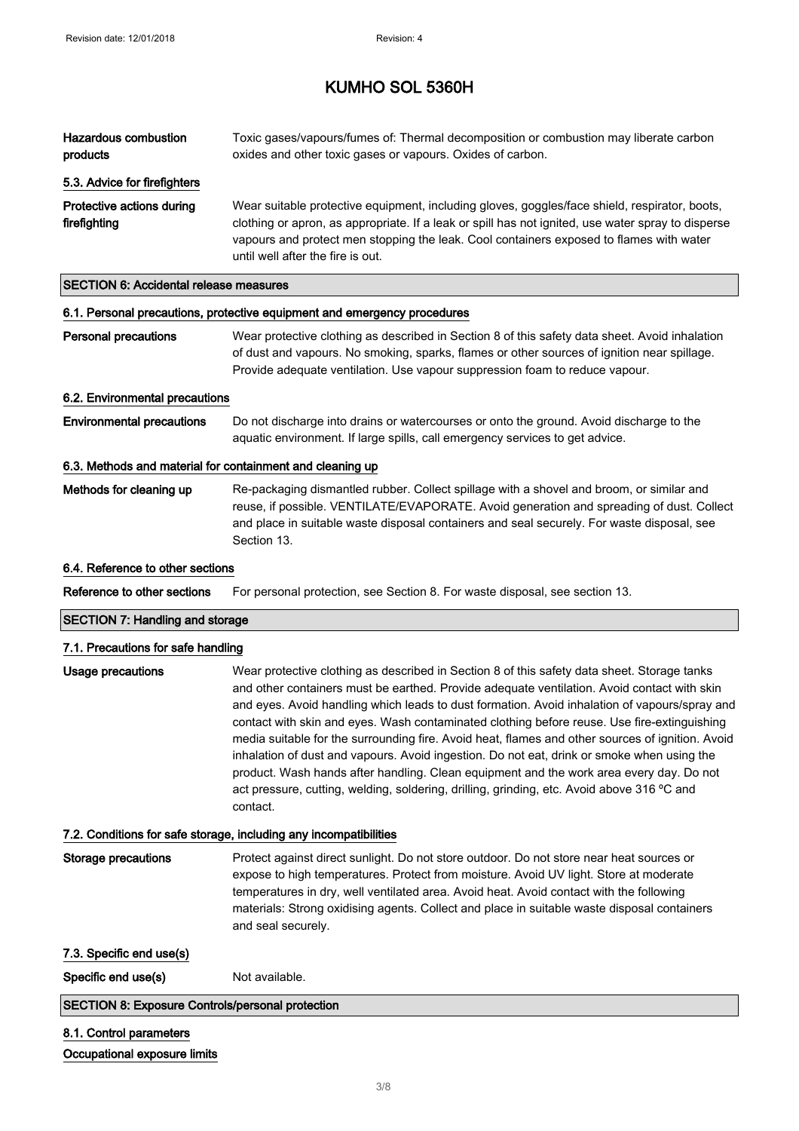| <b>Hazardous combustion</b><br>products                   | Toxic gases/vapours/fumes of: Thermal decomposition or combustion may liberate carbon<br>oxides and other toxic gases or vapours. Oxides of carbon.                                                                                                                                                                                                                                                                                                                                                                                                                                                                                                                                                                                                                                               |
|-----------------------------------------------------------|---------------------------------------------------------------------------------------------------------------------------------------------------------------------------------------------------------------------------------------------------------------------------------------------------------------------------------------------------------------------------------------------------------------------------------------------------------------------------------------------------------------------------------------------------------------------------------------------------------------------------------------------------------------------------------------------------------------------------------------------------------------------------------------------------|
| 5.3. Advice for firefighters                              |                                                                                                                                                                                                                                                                                                                                                                                                                                                                                                                                                                                                                                                                                                                                                                                                   |
| Protective actions during<br>firefighting                 | Wear suitable protective equipment, including gloves, goggles/face shield, respirator, boots,<br>clothing or apron, as appropriate. If a leak or spill has not ignited, use water spray to disperse<br>vapours and protect men stopping the leak. Cool containers exposed to flames with water<br>until well after the fire is out.                                                                                                                                                                                                                                                                                                                                                                                                                                                               |
| <b>SECTION 6: Accidental release measures</b>             |                                                                                                                                                                                                                                                                                                                                                                                                                                                                                                                                                                                                                                                                                                                                                                                                   |
|                                                           | 6.1. Personal precautions, protective equipment and emergency procedures                                                                                                                                                                                                                                                                                                                                                                                                                                                                                                                                                                                                                                                                                                                          |
| <b>Personal precautions</b>                               | Wear protective clothing as described in Section 8 of this safety data sheet. Avoid inhalation<br>of dust and vapours. No smoking, sparks, flames or other sources of ignition near spillage.<br>Provide adequate ventilation. Use vapour suppression foam to reduce vapour.                                                                                                                                                                                                                                                                                                                                                                                                                                                                                                                      |
| 6.2. Environmental precautions                            |                                                                                                                                                                                                                                                                                                                                                                                                                                                                                                                                                                                                                                                                                                                                                                                                   |
| <b>Environmental precautions</b>                          | Do not discharge into drains or watercourses or onto the ground. Avoid discharge to the<br>aquatic environment. If large spills, call emergency services to get advice.                                                                                                                                                                                                                                                                                                                                                                                                                                                                                                                                                                                                                           |
| 6.3. Methods and material for containment and cleaning up |                                                                                                                                                                                                                                                                                                                                                                                                                                                                                                                                                                                                                                                                                                                                                                                                   |
| Methods for cleaning up                                   | Re-packaging dismantled rubber. Collect spillage with a shovel and broom, or similar and<br>reuse, if possible. VENTILATE/EVAPORATE. Avoid generation and spreading of dust. Collect<br>and place in suitable waste disposal containers and seal securely. For waste disposal, see<br>Section 13.                                                                                                                                                                                                                                                                                                                                                                                                                                                                                                 |
| 6.4. Reference to other sections                          |                                                                                                                                                                                                                                                                                                                                                                                                                                                                                                                                                                                                                                                                                                                                                                                                   |
|                                                           |                                                                                                                                                                                                                                                                                                                                                                                                                                                                                                                                                                                                                                                                                                                                                                                                   |
| Reference to other sections                               | For personal protection, see Section 8. For waste disposal, see section 13.                                                                                                                                                                                                                                                                                                                                                                                                                                                                                                                                                                                                                                                                                                                       |
| <b>SECTION 7: Handling and storage</b>                    |                                                                                                                                                                                                                                                                                                                                                                                                                                                                                                                                                                                                                                                                                                                                                                                                   |
| 7.1. Precautions for safe handling                        |                                                                                                                                                                                                                                                                                                                                                                                                                                                                                                                                                                                                                                                                                                                                                                                                   |
| Usage precautions                                         | Wear protective clothing as described in Section 8 of this safety data sheet. Storage tanks<br>and other containers must be earthed. Provide adequate ventilation. Avoid contact with skin<br>and eyes. Avoid handling which leads to dust formation. Avoid inhalation of vapours/spray and<br>contact with skin and eyes. Wash contaminated clothing before reuse. Use fire-extinguishing<br>media suitable for the surrounding fire. Avoid heat, flames and other sources of ignition. Avoid<br>inhalation of dust and vapours. Avoid ingestion. Do not eat, drink or smoke when using the<br>product. Wash hands after handling. Clean equipment and the work area every day. Do not<br>act pressure, cutting, welding, soldering, drilling, grinding, etc. Avoid above 316 °C and<br>contact. |
|                                                           | 7.2. Conditions for safe storage, including any incompatibilities                                                                                                                                                                                                                                                                                                                                                                                                                                                                                                                                                                                                                                                                                                                                 |
| <b>Storage precautions</b>                                | Protect against direct sunlight. Do not store outdoor. Do not store near heat sources or<br>expose to high temperatures. Protect from moisture. Avoid UV light. Store at moderate<br>temperatures in dry, well ventilated area. Avoid heat. Avoid contact with the following<br>materials: Strong oxidising agents. Collect and place in suitable waste disposal containers<br>and seal securely.                                                                                                                                                                                                                                                                                                                                                                                                 |
| 7.3. Specific end use(s)                                  |                                                                                                                                                                                                                                                                                                                                                                                                                                                                                                                                                                                                                                                                                                                                                                                                   |
| Specific end use(s)                                       | Not available.                                                                                                                                                                                                                                                                                                                                                                                                                                                                                                                                                                                                                                                                                                                                                                                    |
| <b>SECTION 8: Exposure Controls/personal protection</b>   |                                                                                                                                                                                                                                                                                                                                                                                                                                                                                                                                                                                                                                                                                                                                                                                                   |

#### Occupational exposure limits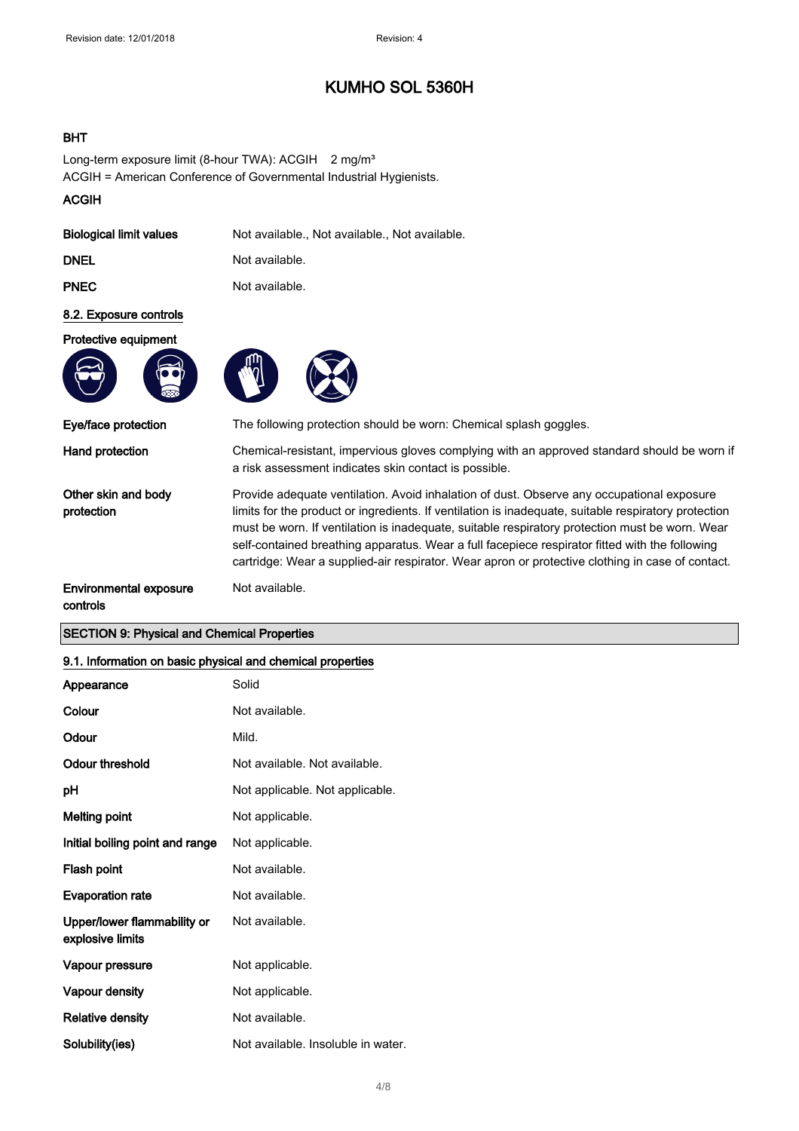#### BHT

Long-term exposure limit (8-hour TWA): ACGIH 2 mg/m<sup>3</sup> ACGIH = American Conference of Governmental Industrial Hygienists.

#### ACGIH

| <b>Biological limit values</b> | Not available., Not available., Not available. |
|--------------------------------|------------------------------------------------|
|                                |                                                |

Not available.

DNEL Not available.

**PNEC** Not available.

#### 8.2. Exposure controls

#### Protective equipment



Eye/face protection The following protection should be worn: Chemical splash goggles.

Other skin and body protection

Hand protection Chemical-resistant, impervious gloves complying with an approved standard should be worn if a risk assessment indicates skin contact is possible.

> Provide adequate ventilation. Avoid inhalation of dust. Observe any occupational exposure limits for the product or ingredients. If ventilation is inadequate, suitable respiratory protection must be worn. If ventilation is inadequate, suitable respiratory protection must be worn. Wear self-contained breathing apparatus. Wear a full facepiece respirator fitted with the following cartridge: Wear a supplied-air respirator. Wear apron or protective clothing in case of contact.

#### Environmental exposure controls

#### SECTION 9: Physical and Chemical Properties

| 9.1. Information on basic physical and chemical properties |                                    |
|------------------------------------------------------------|------------------------------------|
| Appearance                                                 | Solid                              |
| Colour                                                     | Not available.                     |
| Odour                                                      | Mild.                              |
| <b>Odour threshold</b>                                     | Not available. Not available.      |
| рH                                                         | Not applicable. Not applicable.    |
| <b>Melting point</b>                                       | Not applicable.                    |
| Initial boiling point and range                            | Not applicable.                    |
| Flash point                                                | Not available.                     |
| <b>Evaporation rate</b>                                    | Not available.                     |
| Upper/lower flammability or<br>explosive limits            | Not available.                     |
| Vapour pressure                                            | Not applicable.                    |
| Vapour density                                             | Not applicable.                    |
| <b>Relative density</b>                                    | Not available.                     |
| Solubility(ies)                                            | Not available. Insoluble in water. |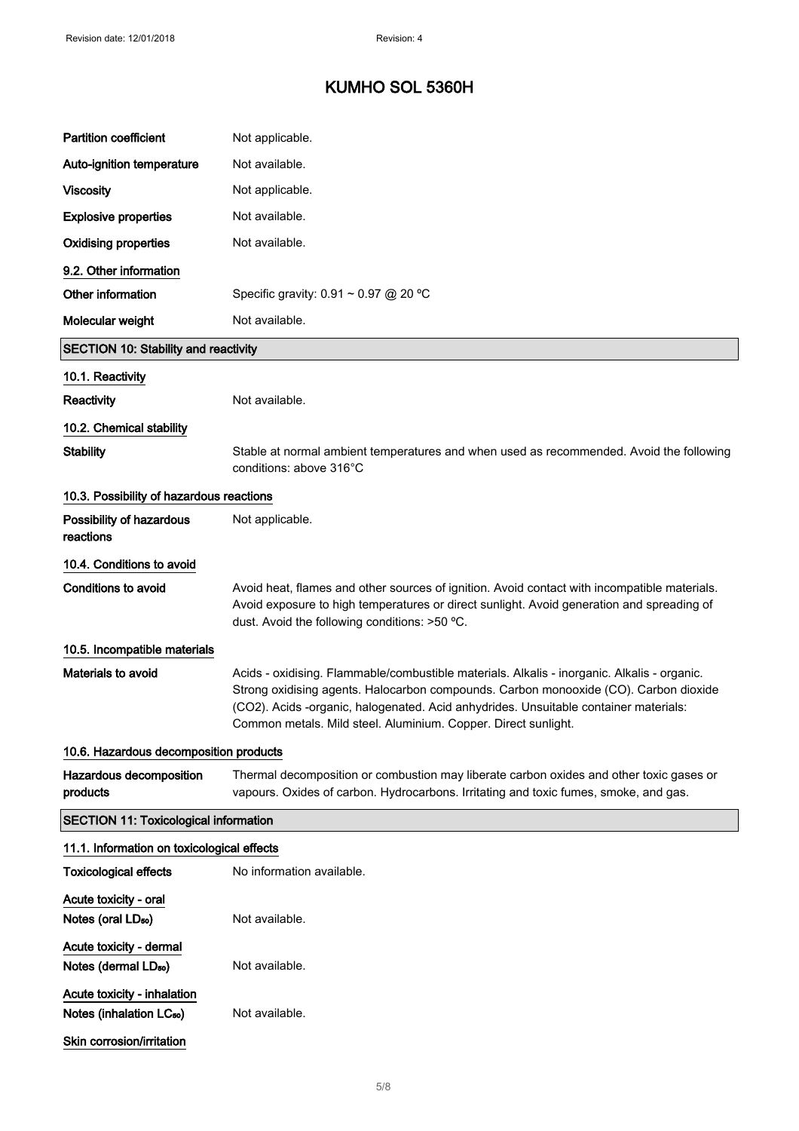| <b>Partition coefficient</b>                                        | Not applicable.                                                                                                                                                                                                                                                                                                                               |
|---------------------------------------------------------------------|-----------------------------------------------------------------------------------------------------------------------------------------------------------------------------------------------------------------------------------------------------------------------------------------------------------------------------------------------|
| Auto-ignition temperature                                           | Not available.                                                                                                                                                                                                                                                                                                                                |
| <b>Viscosity</b>                                                    | Not applicable.                                                                                                                                                                                                                                                                                                                               |
| <b>Explosive properties</b>                                         | Not available.                                                                                                                                                                                                                                                                                                                                |
| <b>Oxidising properties</b>                                         | Not available.                                                                                                                                                                                                                                                                                                                                |
| 9.2. Other information                                              |                                                                                                                                                                                                                                                                                                                                               |
| Other information                                                   | Specific gravity: $0.91 \sim 0.97$ @ 20 °C                                                                                                                                                                                                                                                                                                    |
| Molecular weight                                                    | Not available.                                                                                                                                                                                                                                                                                                                                |
| <b>SECTION 10: Stability and reactivity</b>                         |                                                                                                                                                                                                                                                                                                                                               |
| 10.1. Reactivity                                                    |                                                                                                                                                                                                                                                                                                                                               |
| Reactivity                                                          | Not available.                                                                                                                                                                                                                                                                                                                                |
| 10.2. Chemical stability                                            |                                                                                                                                                                                                                                                                                                                                               |
| <b>Stability</b>                                                    | Stable at normal ambient temperatures and when used as recommended. Avoid the following<br>conditions: above 316°C                                                                                                                                                                                                                            |
| 10.3. Possibility of hazardous reactions                            |                                                                                                                                                                                                                                                                                                                                               |
| Possibility of hazardous<br>reactions                               | Not applicable.                                                                                                                                                                                                                                                                                                                               |
| 10.4. Conditions to avoid                                           |                                                                                                                                                                                                                                                                                                                                               |
| Conditions to avoid                                                 | Avoid heat, flames and other sources of ignition. Avoid contact with incompatible materials.<br>Avoid exposure to high temperatures or direct sunlight. Avoid generation and spreading of<br>dust. Avoid the following conditions: >50 °C.                                                                                                    |
| 10.5. Incompatible materials                                        |                                                                                                                                                                                                                                                                                                                                               |
| Materials to avoid                                                  | Acids - oxidising. Flammable/combustible materials. Alkalis - inorganic. Alkalis - organic.<br>Strong oxidising agents. Halocarbon compounds. Carbon monooxide (CO). Carbon dioxide<br>(CO2). Acids -organic, halogenated. Acid anhydrides. Unsuitable container materials:<br>Common metals. Mild steel. Aluminium. Copper. Direct sunlight. |
| 10.6. Hazardous decomposition products                              |                                                                                                                                                                                                                                                                                                                                               |
| Hazardous decomposition<br>products                                 | Thermal decomposition or combustion may liberate carbon oxides and other toxic gases or<br>vapours. Oxides of carbon. Hydrocarbons. Irritating and toxic fumes, smoke, and gas.                                                                                                                                                               |
| <b>SECTION 11: Toxicological information</b>                        |                                                                                                                                                                                                                                                                                                                                               |
| 11.1. Information on toxicological effects                          |                                                                                                                                                                                                                                                                                                                                               |
| <b>Toxicological effects</b>                                        | No information available.                                                                                                                                                                                                                                                                                                                     |
| Acute toxicity - oral<br>Notes (oral LD <sub>50</sub> )             | Not available.                                                                                                                                                                                                                                                                                                                                |
| Acute toxicity - dermal<br>Notes (dermal LD <sub>50</sub> )         | Not available.                                                                                                                                                                                                                                                                                                                                |
| Acute toxicity - inhalation<br>Notes (inhalation LC <sub>50</sub> ) | Not available.                                                                                                                                                                                                                                                                                                                                |
| Skin corrosion/irritation                                           |                                                                                                                                                                                                                                                                                                                                               |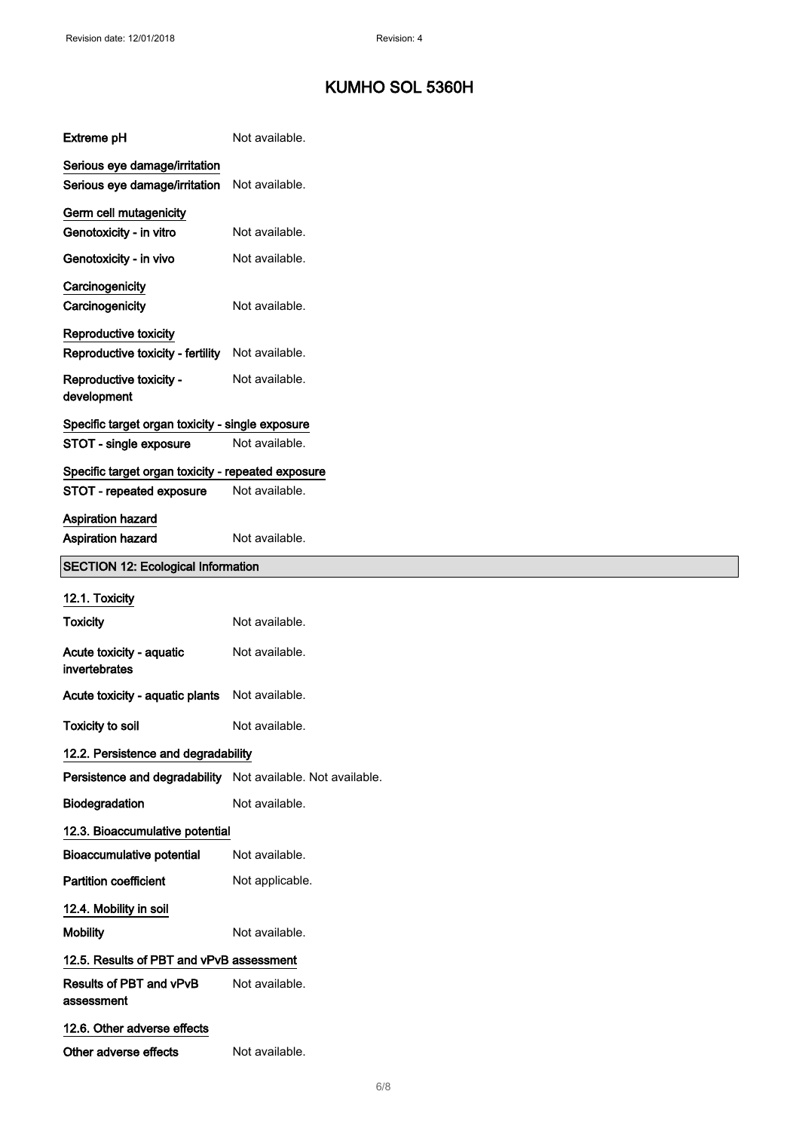| <b>Extreme pH</b>                                              | Not available.  |
|----------------------------------------------------------------|-----------------|
| Serious eye damage/irritation<br>Serious eye damage/irritation | Not available.  |
| Germ cell mutagenicity<br>Genotoxicity - in vitro              | Not available.  |
| Genotoxicity - in vivo                                         | Not available.  |
| Carcinogenicity<br>Carcinogenicity                             | Not available.  |
| Reproductive toxicity<br>Reproductive toxicity - fertility     | Not available.  |
| Reproductive toxicity -<br>development                         | Not available.  |
| Specific target organ toxicity - single exposure               |                 |
| STOT - single exposure                                         | Not available.  |
| Specific target organ toxicity - repeated exposure             |                 |
| STOT - repeated exposure                                       | Not available.  |
| Aspiration hazard<br>Aspiration hazard                         | Not available.  |
| <b>SECTION 12: Ecological Information</b>                      |                 |
|                                                                |                 |
| 12.1. Toxicity                                                 |                 |
| <b>Toxicity</b>                                                | Not available.  |
| Acute toxicity - aquatic<br>invertebrates                      | Not available.  |
| Acute toxicity - aquatic plants                                | Not available.  |
| <b>Toxicity to soil</b>                                        | Not available.  |
| 12.2. Persistence and degradability                            |                 |
| Persistence and degradability Not available. Not available.    |                 |
| Biodegradation                                                 | Not available.  |
| 12.3. Bioaccumulative potential                                |                 |
| <b>Bioaccumulative potential</b>                               | Not available.  |
| <b>Partition coefficient</b>                                   | Not applicable. |
| 12.4. Mobility in soil                                         |                 |
| <b>Mobility</b>                                                | Not available.  |
| 12.5. Results of PBT and vPvB assessment                       |                 |
| Results of PBT and vPvB<br>assessment                          | Not available.  |
| 12.6. Other adverse effects                                    |                 |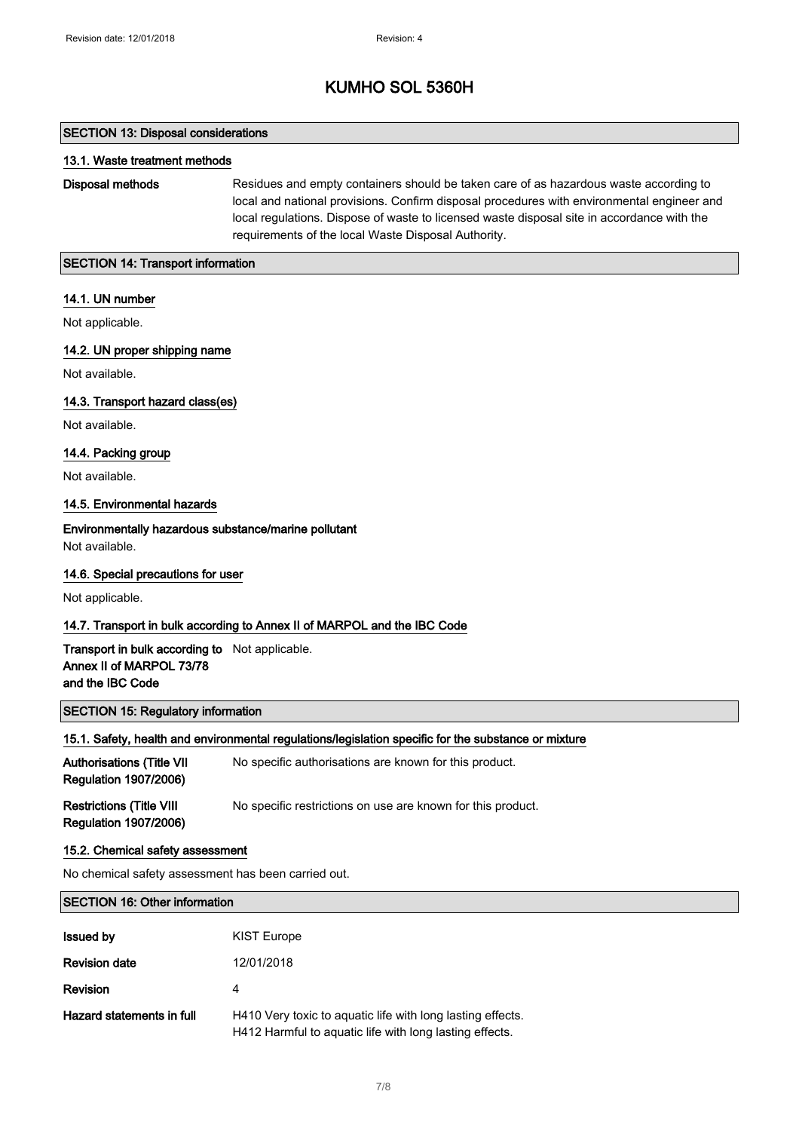#### SECTION 13: Disposal considerations

#### 13.1. Waste treatment methods

Disposal methods Residues and empty containers should be taken care of as hazardous waste according to local and national provisions. Confirm disposal procedures with environmental engineer and local regulations. Dispose of waste to licensed waste disposal site in accordance with the requirements of the local Waste Disposal Authority.

#### SECTION 14: Transport information

#### 14.1. UN number

Not applicable.

#### 14.2. UN proper shipping name

Not available.

#### 14.3. Transport hazard class(es)

Not available.

#### 14.4. Packing group

Not available.

#### 14.5. Environmental hazards

Environmentally hazardous substance/marine pollutant Not available.

#### 14.6. Special precautions for user

Not applicable.

#### 14.7. Transport in bulk according to Annex II of MARPOL and the IBC Code

#### Transport in bulk according to Not applicable. Annex II of MARPOL 73/78 and the IBC Code

#### SECTION 15: Regulatory information

#### 15.1. Safety, health and environmental regulations/legislation specific for the substance or mixture

| <b>Authorisations (Title VII</b><br><b>Regulation 1907/2006)</b> | No specific authorisations are known for this product.      |
|------------------------------------------------------------------|-------------------------------------------------------------|
| <b>Restrictions (Title VIII</b><br><b>Regulation 1907/2006)</b>  | No specific restrictions on use are known for this product. |

#### 15.2. Chemical safety assessment

No chemical safety assessment has been carried out.

#### SECTION 16: Other information

| <b>Issued by</b>          | <b>KIST Europe</b>                                                                                                    |
|---------------------------|-----------------------------------------------------------------------------------------------------------------------|
| <b>Revision date</b>      | 12/01/2018                                                                                                            |
| <b>Revision</b>           | 4                                                                                                                     |
| Hazard statements in full | H410 Very toxic to aquatic life with long lasting effects.<br>H412 Harmful to aquatic life with long lasting effects. |